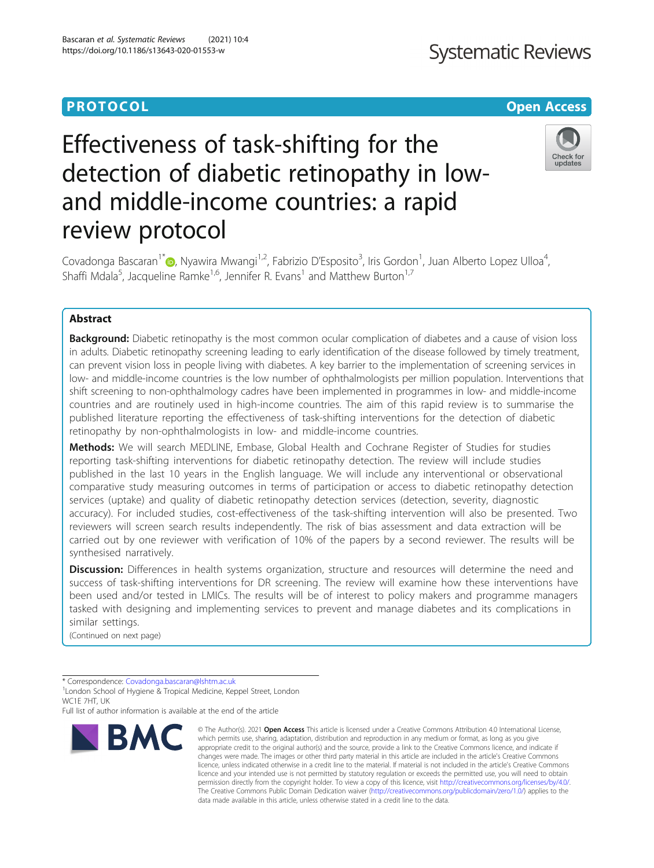# **Systematic Reviews**

# **PROTOCOL CONSUMING THE CONSUMING TEACHER CONSUMING THE CONSUMING TEACHER CONSUMING THE CONSUMING TEACHER CONSUMING THE CONSUMING TEACHER CONSUMING THE CONSUMING TEACHER CONSUMING THE CONSUMING TEACHER CONSUMING THE CONS**

# Effectiveness of task-shifting for the detection of diabetic retinopathy in lowand middle-income countries: a rapid review protocol



Covadonga Bascaran<sup>1\*</sup>�[,](http://orcid.org/0000-0002-5662-3325) Nyawira Mwangi<sup>1,2</sup>, Fabrizio D'Esposito<sup>3</sup>, Iris Gordon<sup>1</sup>, Juan Alberto Lopez Ulloa<sup>4</sup> , Shaffi Mdala<sup>5</sup>, Jacqueline Ramke<sup>1,6</sup>, Jennifer R. Evans<sup>1</sup> and Matthew Burton<sup>1,7</sup>

# Abstract

**Background:** Diabetic retinopathy is the most common ocular complication of diabetes and a cause of vision loss in adults. Diabetic retinopathy screening leading to early identification of the disease followed by timely treatment, can prevent vision loss in people living with diabetes. A key barrier to the implementation of screening services in low- and middle-income countries is the low number of ophthalmologists per million population. Interventions that shift screening to non-ophthalmology cadres have been implemented in programmes in low- and middle-income countries and are routinely used in high-income countries. The aim of this rapid review is to summarise the published literature reporting the effectiveness of task-shifting interventions for the detection of diabetic retinopathy by non-ophthalmologists in low- and middle-income countries.

Methods: We will search MEDLINE, Embase, Global Health and Cochrane Register of Studies for studies reporting task-shifting interventions for diabetic retinopathy detection. The review will include studies published in the last 10 years in the English language. We will include any interventional or observational comparative study measuring outcomes in terms of participation or access to diabetic retinopathy detection services (uptake) and quality of diabetic retinopathy detection services (detection, severity, diagnostic accuracy). For included studies, cost-effectiveness of the task-shifting intervention will also be presented. Two reviewers will screen search results independently. The risk of bias assessment and data extraction will be carried out by one reviewer with verification of 10% of the papers by a second reviewer. The results will be synthesised narratively.

Discussion: Differences in health systems organization, structure and resources will determine the need and success of task-shifting interventions for DR screening. The review will examine how these interventions have been used and/or tested in LMICs. The results will be of interest to policy makers and programme managers tasked with designing and implementing services to prevent and manage diabetes and its complications in similar settings.

(Continued on next page)

Full list of author information is available at the end of the article



<sup>©</sup> The Author(s), 2021 **Open Access** This article is licensed under a Creative Commons Attribution 4.0 International License, which permits use, sharing, adaptation, distribution and reproduction in any medium or format, as long as you give appropriate credit to the original author(s) and the source, provide a link to the Creative Commons licence, and indicate if changes were made. The images or other third party material in this article are included in the article's Creative Commons licence, unless indicated otherwise in a credit line to the material. If material is not included in the article's Creative Commons licence and your intended use is not permitted by statutory regulation or exceeds the permitted use, you will need to obtain permission directly from the copyright holder. To view a copy of this licence, visit [http://creativecommons.org/licenses/by/4.0/.](http://creativecommons.org/licenses/by/4.0/) The Creative Commons Public Domain Dedication waiver [\(http://creativecommons.org/publicdomain/zero/1.0/](http://creativecommons.org/publicdomain/zero/1.0/)) applies to the data made available in this article, unless otherwise stated in a credit line to the data.

<sup>\*</sup> Correspondence: [Covadonga.bascaran@lshtm.ac.uk](mailto:Covadonga.bascaran@lshtm.ac.uk) <sup>1</sup>

<sup>&</sup>lt;sup>1</sup> London School of Hygiene & Tropical Medicine, Keppel Street, London WC1F 7HT, UK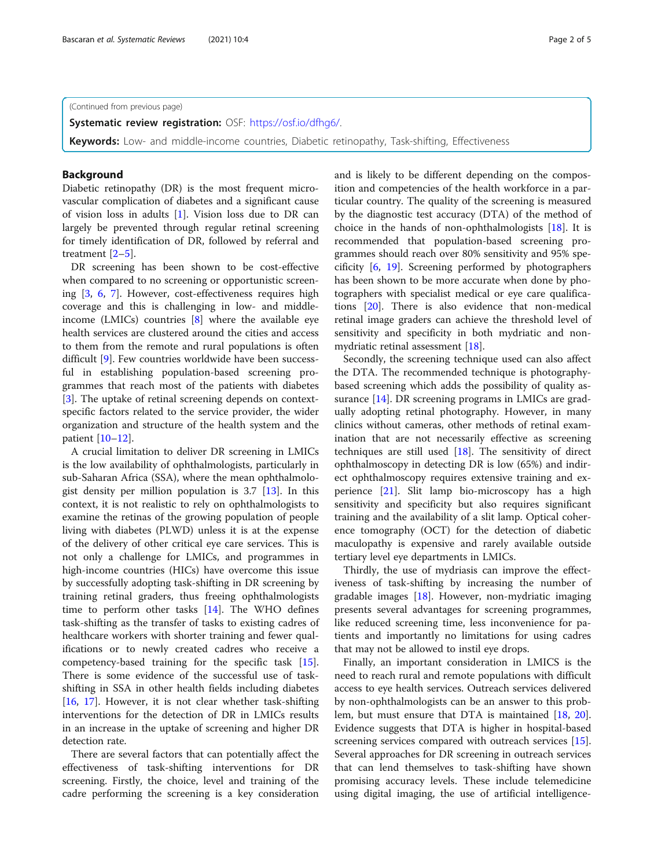(Continued from previous page)

Systematic review registration: OSF: [https://osf.io/dfhg6/.](https://osf.io/dfhg6/)

Keywords: Low- and middle-income countries, Diabetic retinopathy, Task-shifting, Effectiveness

# Background

Diabetic retinopathy (DR) is the most frequent microvascular complication of diabetes and a significant cause of vision loss in adults [[1\]](#page-4-0). Vision loss due to DR can largely be prevented through regular retinal screening for timely identification of DR, followed by referral and treatment [[2](#page-4-0)–[5\]](#page-4-0).

DR screening has been shown to be cost-effective when compared to no screening or opportunistic screening [\[3](#page-4-0), [6,](#page-4-0) [7\]](#page-4-0). However, cost-effectiveness requires high coverage and this is challenging in low- and middleincome (LMICs) countries  $[8]$  $[8]$  where the available eye health services are clustered around the cities and access to them from the remote and rural populations is often difficult [\[9](#page-4-0)]. Few countries worldwide have been successful in establishing population-based screening programmes that reach most of the patients with diabetes [[3\]](#page-4-0). The uptake of retinal screening depends on contextspecific factors related to the service provider, the wider organization and structure of the health system and the patient [\[10](#page-4-0)–[12\]](#page-4-0).

A crucial limitation to deliver DR screening in LMICs is the low availability of ophthalmologists, particularly in sub-Saharan Africa (SSA), where the mean ophthalmologist density per million population is 3.7 [\[13\]](#page-4-0). In this context, it is not realistic to rely on ophthalmologists to examine the retinas of the growing population of people living with diabetes (PLWD) unless it is at the expense of the delivery of other critical eye care services. This is not only a challenge for LMICs, and programmes in high-income countries (HICs) have overcome this issue by successfully adopting task-shifting in DR screening by training retinal graders, thus freeing ophthalmologists time to perform other tasks [[14\]](#page-4-0). The WHO defines task-shifting as the transfer of tasks to existing cadres of healthcare workers with shorter training and fewer qualifications or to newly created cadres who receive a competency-based training for the specific task [\[15](#page-4-0)]. There is some evidence of the successful use of taskshifting in SSA in other health fields including diabetes [[16,](#page-4-0) [17](#page-4-0)]. However, it is not clear whether task-shifting interventions for the detection of DR in LMICs results in an increase in the uptake of screening and higher DR detection rate.

There are several factors that can potentially affect the effectiveness of task-shifting interventions for DR screening. Firstly, the choice, level and training of the cadre performing the screening is a key consideration and is likely to be different depending on the composition and competencies of the health workforce in a particular country. The quality of the screening is measured by the diagnostic test accuracy (DTA) of the method of choice in the hands of non-ophthalmologists [\[18\]](#page-4-0). It is recommended that population-based screening programmes should reach over 80% sensitivity and 95% specificity [[6,](#page-4-0) [19\]](#page-4-0). Screening performed by photographers has been shown to be more accurate when done by photographers with specialist medical or eye care qualifications [[20](#page-4-0)]. There is also evidence that non-medical retinal image graders can achieve the threshold level of sensitivity and specificity in both mydriatic and nonmydriatic retinal assessment [[18](#page-4-0)].

Secondly, the screening technique used can also affect the DTA. The recommended technique is photographybased screening which adds the possibility of quality as-surance [\[14](#page-4-0)]. DR screening programs in LMICs are gradually adopting retinal photography. However, in many clinics without cameras, other methods of retinal examination that are not necessarily effective as screening techniques are still used  $[18]$  $[18]$  $[18]$ . The sensitivity of direct ophthalmoscopy in detecting DR is low (65%) and indirect ophthalmoscopy requires extensive training and experience [\[21](#page-4-0)]. Slit lamp bio-microscopy has a high sensitivity and specificity but also requires significant training and the availability of a slit lamp. Optical coherence tomography (OCT) for the detection of diabetic maculopathy is expensive and rarely available outside tertiary level eye departments in LMICs.

Thirdly, the use of mydriasis can improve the effectiveness of task-shifting by increasing the number of gradable images [[18\]](#page-4-0). However, non-mydriatic imaging presents several advantages for screening programmes, like reduced screening time, less inconvenience for patients and importantly no limitations for using cadres that may not be allowed to instil eye drops.

Finally, an important consideration in LMICS is the need to reach rural and remote populations with difficult access to eye health services. Outreach services delivered by non-ophthalmologists can be an answer to this problem, but must ensure that DTA is maintained [\[18](#page-4-0), [20](#page-4-0)]. Evidence suggests that DTA is higher in hospital-based screening services compared with outreach services [\[15](#page-4-0)]. Several approaches for DR screening in outreach services that can lend themselves to task-shifting have shown promising accuracy levels. These include telemedicine using digital imaging, the use of artificial intelligence-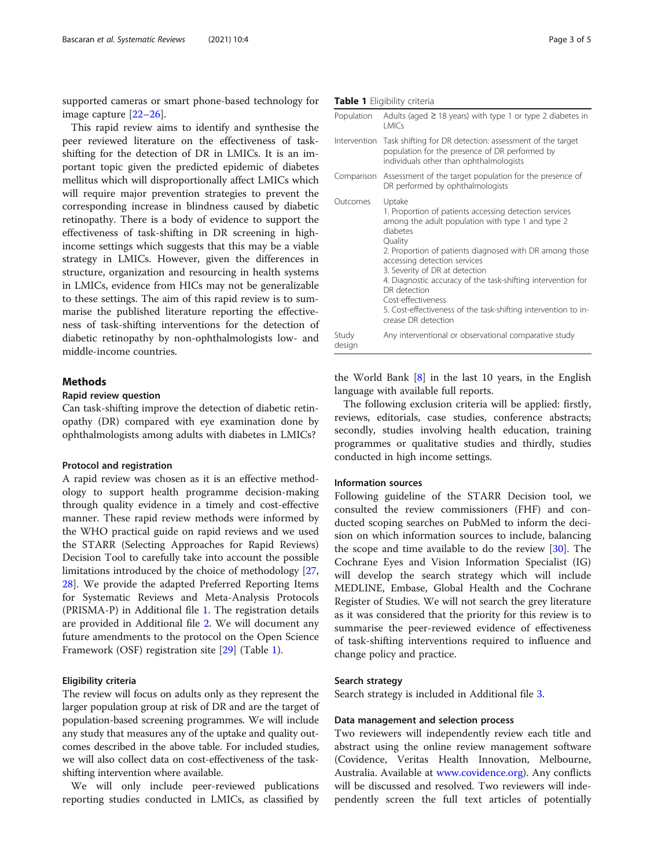supported cameras or smart phone-based technology for image capture [[22](#page-4-0)–[26](#page-4-0)].

This rapid review aims to identify and synthesise the peer reviewed literature on the effectiveness of taskshifting for the detection of DR in LMICs. It is an important topic given the predicted epidemic of diabetes mellitus which will disproportionally affect LMICs which will require major prevention strategies to prevent the corresponding increase in blindness caused by diabetic retinopathy. There is a body of evidence to support the effectiveness of task-shifting in DR screening in highincome settings which suggests that this may be a viable strategy in LMICs. However, given the differences in structure, organization and resourcing in health systems in LMICs, evidence from HICs may not be generalizable to these settings. The aim of this rapid review is to summarise the published literature reporting the effectiveness of task-shifting interventions for the detection of diabetic retinopathy by non-ophthalmologists low- and middle-income countries.

# **Methods**

#### Rapid review question

Can task-shifting improve the detection of diabetic retinopathy (DR) compared with eye examination done by ophthalmologists among adults with diabetes in LMICs?

# Protocol and registration

A rapid review was chosen as it is an effective methodology to support health programme decision-making through quality evidence in a timely and cost-effective manner. These rapid review methods were informed by the WHO practical guide on rapid reviews and we used the STARR (Selecting Approaches for Rapid Reviews) Decision Tool to carefully take into account the possible limitations introduced by the choice of methodology [[27](#page-4-0), [28\]](#page-4-0). We provide the adapted Preferred Reporting Items for Systematic Reviews and Meta-Analysis Protocols (PRISMA-P) in Additional file [1.](#page-3-0) The registration details are provided in Additional file [2](#page-3-0). We will document any future amendments to the protocol on the Open Science Framework (OSF) registration site [[29](#page-4-0)] (Table 1).

#### Eligibility criteria

The review will focus on adults only as they represent the larger population group at risk of DR and are the target of population-based screening programmes. We will include any study that measures any of the uptake and quality outcomes described in the above table. For included studies, we will also collect data on cost-effectiveness of the taskshifting intervention where available.

We will only include peer-reviewed publications reporting studies conducted in LMICs, as classified by

|  | Table 1 Eligibility criteria |  |
|--|------------------------------|--|
|--|------------------------------|--|

| Population      | Adults (aged $\geq$ 18 years) with type 1 or type 2 diabetes in<br>I MICs                                                                                                                                                                                                                                                                                                                                                                                                |
|-----------------|--------------------------------------------------------------------------------------------------------------------------------------------------------------------------------------------------------------------------------------------------------------------------------------------------------------------------------------------------------------------------------------------------------------------------------------------------------------------------|
|                 | Intervention Task shifting for DR detection: assessment of the target<br>population for the presence of DR performed by<br>individuals other than ophthalmologists                                                                                                                                                                                                                                                                                                       |
|                 | Comparison Assessment of the target population for the presence of<br>DR performed by ophthalmologists                                                                                                                                                                                                                                                                                                                                                                   |
| Outcomes        | Uptake<br>1. Proportion of patients accessing detection services<br>among the adult population with type 1 and type 2<br>diabetes<br>Quality<br>2. Proportion of patients diagnosed with DR among those<br>accessing detection services<br>3. Severity of DR at detection<br>4. Diagnostic accuracy of the task-shifting intervention for<br>DR detection<br>Cost-effectiveness<br>5. Cost-effectiveness of the task-shifting intervention to in-<br>crease DR detection |
| Study<br>design | Any interventional or observational comparative study                                                                                                                                                                                                                                                                                                                                                                                                                    |

the World Bank [[8\]](#page-4-0) in the last 10 years, in the English language with available full reports.

The following exclusion criteria will be applied: firstly, reviews, editorials, case studies, conference abstracts; secondly, studies involving health education, training programmes or qualitative studies and thirdly, studies conducted in high income settings.

#### Information sources

Following guideline of the STARR Decision tool, we consulted the review commissioners (FHF) and conducted scoping searches on PubMed to inform the decision on which information sources to include, balancing the scope and time available to do the review [\[30](#page-4-0)]. The Cochrane Eyes and Vision Information Specialist (IG) will develop the search strategy which will include MEDLINE, Embase, Global Health and the Cochrane Register of Studies. We will not search the grey literature as it was considered that the priority for this review is to summarise the peer-reviewed evidence of effectiveness of task-shifting interventions required to influence and change policy and practice.

#### Search strategy

Search strategy is included in Additional file [3](#page-3-0).

#### Data management and selection process

Two reviewers will independently review each title and abstract using the online review management software (Covidence, Veritas Health Innovation, Melbourne, Australia. Available at [www.covidence.org](http://www.covidence.org)). Any conflicts will be discussed and resolved. Two reviewers will independently screen the full text articles of potentially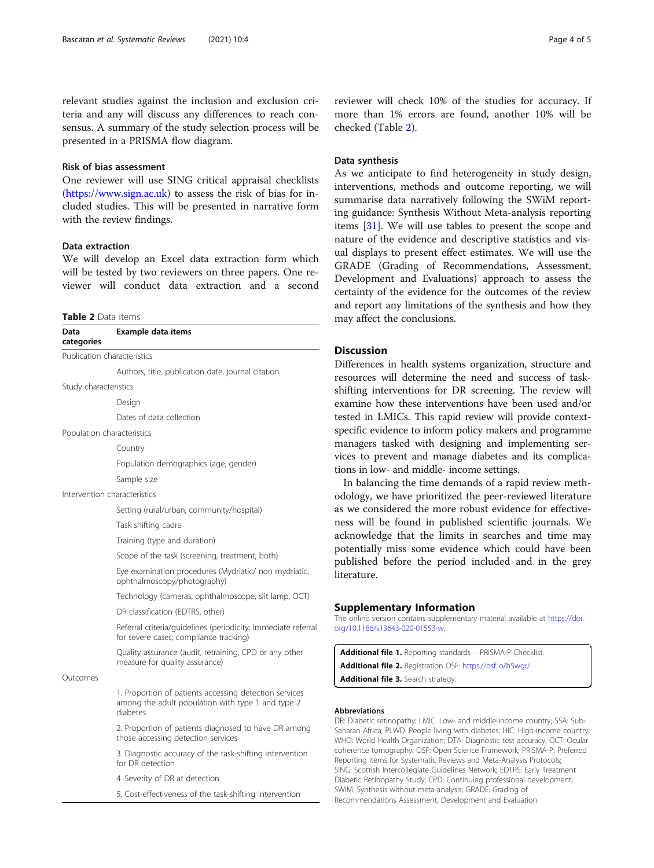<span id="page-3-0"></span>relevant studies against the inclusion and exclusion criteria and any will discuss any differences to reach consensus. A summary of the study selection process will be presented in a PRISMA flow diagram.

#### Risk of bias assessment

One reviewer will use SING critical appraisal checklists (<https://www.sign.ac.uk>) to assess the risk of bias for included studies. This will be presented in narrative form with the review findings.

# Data extraction

We will develop an Excel data extraction form which will be tested by two reviewers on three papers. One reviewer will conduct data extraction and a second

#### Table 2 Data items

| Data<br>categories          | Example data items                                                                                                      |
|-----------------------------|-------------------------------------------------------------------------------------------------------------------------|
| Publication characteristics |                                                                                                                         |
|                             | Authors, title, publication date, journal citation                                                                      |
| Study characteristics       |                                                                                                                         |
|                             | Design                                                                                                                  |
|                             | Dates of data collection                                                                                                |
| Population characteristics  |                                                                                                                         |
|                             | Country                                                                                                                 |
|                             | Population demographics (age, gender)                                                                                   |
|                             | Sample size                                                                                                             |
|                             | Intervention characteristics                                                                                            |
|                             | Setting (rural/urban, community/hospital)                                                                               |
|                             | Task shifting cadre                                                                                                     |
|                             | Training (type and duration)                                                                                            |
|                             | Scope of the task (screening, treatment, both)                                                                          |
|                             | Eye examination procedures (Mydriatic/ non mydriatic,<br>ophthalmoscopy/photography)                                    |
|                             | Technology (cameras, ophthalmoscope, slit lamp, OCT)                                                                    |
|                             | DR classification (EDTRS, other)                                                                                        |
|                             | Referral criteria/guidelines (periodicity; immediate referral<br>for severe cases; compliance tracking)                 |
|                             | Quality assurance (audit, retraining, CPD or any other<br>measure for quality assurance)                                |
| Outcomes                    |                                                                                                                         |
|                             | 1. Proportion of patients accessing detection services<br>among the adult population with type 1 and type 2<br>diabetes |
|                             | 2. Proportion of patients diagnosed to have DR among<br>those accessing detection services                              |
|                             | 3. Diagnostic accuracy of the task-shifting intervention<br>for DR detection                                            |
|                             | 4. Severity of DR at detection                                                                                          |
|                             |                                                                                                                         |

5. Cost-effectiveness of the task-shifting intervention

reviewer will check 10% of the studies for accuracy. If more than 1% errors are found, another 10% will be checked (Table 2).

# Data synthesis

As we anticipate to find heterogeneity in study design, interventions, methods and outcome reporting, we will summarise data narratively following the SWiM reporting guidance: Synthesis Without Meta-analysis reporting items [[31\]](#page-4-0). We will use tables to present the scope and nature of the evidence and descriptive statistics and visual displays to present effect estimates. We will use the GRADE (Grading of Recommendations, Assessment, Development and Evaluations) approach to assess the certainty of the evidence for the outcomes of the review and report any limitations of the synthesis and how they may affect the conclusions.

#### Discussion

fferences in health systems organization, structure and sources will determine the need and success of taskifting interventions for DR screening. The review will amine how these interventions have been used and/or ted in LMICs. This rapid review will provide contextecific evidence to inform policy makers and programme anagers tasked with designing and implementing services to prevent and manage diabetes and its complicains in low- and middle- income settings.

In balancing the time demands of a rapid review methology, we have prioritized the peer-reviewed literature we considered the more robust evidence for effectivess will be found in published scientific journals. We knowledge that the limits in searches and time may tentially miss some evidence which could have been blished before the period included and in the grey erature.

#### pplementary Information

online version contains supplementary material available at [https://doi.](https://doi.org/10.1186/s13643-020-01553-w) [org/10.1186/s13643-020-01553-w](https://doi.org/10.1186/s13643-020-01553-w).

dditional file 1. Reporting standards - PRISMA-P Checklist. dditional file 2. Registration OSF: <https://osf.io/h5wgr/> dditional file 3. Search strategy

#### breviations

Diabetic retinopathy; LMIC: Low- and middle-income country; SSA: Subaran Africa; PLWD: People living with diabetes; HIC: High-income country; IO: World Health Organization; DTA: Diagnostic test accuracy; OCT: Ocular ierence tomography; OSF: Open Science Framework; PRISMA-P: Preferred orting Items for Systematic Reviews and Meta-Analysis Protocols; G: Scottish Intercollegiate Guidelines Network; EDTRS: Early Treatment betic Retinopathy Study; CPD: Continuing professional development; SWiM: Synthesis without meta-analysis; GRADE: Grading of Recommendations Assessment, Development and Evaluation